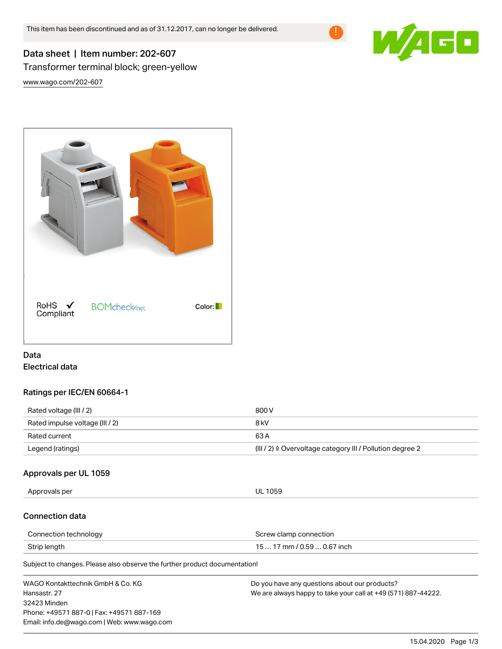

# Data sheet | Item number: 202-607 Transformer terminal block; green-yellow

[www.wago.com/202-607](http://www.wago.com/202-607)



# Data Electrical data

## Ratings per IEC/EN 60664-1

| Rated voltage (III / 2)         | 800 V                                                                |
|---------------------------------|----------------------------------------------------------------------|
| Rated impulse voltage (III / 2) | 8 kV                                                                 |
| Rated current                   | 63 A                                                                 |
| Legend (ratings)                | (III / 2) $\triangleq$ Overvoltage category III / Pollution degree 2 |

# Approvals per UL 1059

Approvals per UL 1059

## Connection data

| Connection technology | Screw clamp connection      |
|-----------------------|-----------------------------|
| Strip length          | 15  17 mm / 0.59  0.67 inch |

Subject to changes. Please also observe the further product documentation!

| WAGO Kontakttechnik GmbH & Co. KG           | Do you have any questions about our products?                 |
|---------------------------------------------|---------------------------------------------------------------|
| Hansastr. 27                                | We are always happy to take your call at +49 (571) 887-44222. |
| 32423 Minden                                |                                                               |
| Phone: +49571 887-0   Fax: +49571 887-169   |                                                               |
| Email: info.de@wago.com   Web: www.wago.com |                                                               |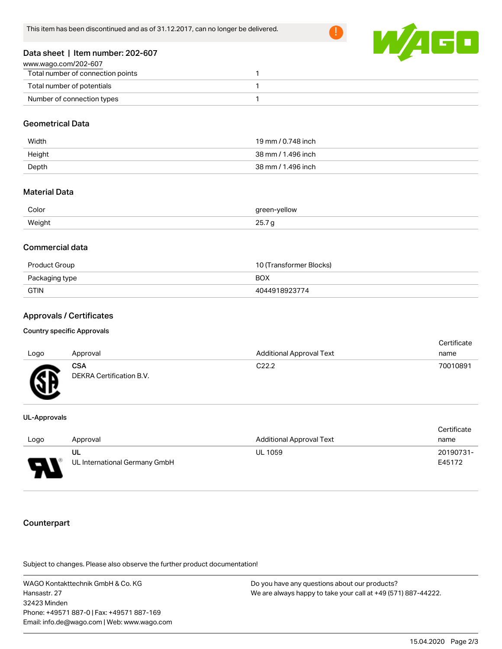

# Data sheet | Item number: 202-607

| www.wago.com/202-607              |  |
|-----------------------------------|--|
| Total number of connection points |  |
| Total number of potentials        |  |
| Number of connection types        |  |

## Geometrical Data

| Width  | 19 mm / 0.748 inch |
|--------|--------------------|
| Height | 38 mm / 1.496 inch |
| Depth  | 38 mm / 1.496 inch |

#### Material Data

| Color  | green-yellow |
|--------|--------------|
| Weight | 20. I Y      |

#### Commercial data

| Product Group  | 10 (Transformer Blocks) |
|----------------|-------------------------|
| Packaging type | <b>BOX</b>              |
| GTIN           | 4044918923774           |

### Approvals / Certificates

#### Country specific Approvals

| Logo | Approval                               | <b>Additional Approval Text</b> | Certificate<br>name |
|------|----------------------------------------|---------------------------------|---------------------|
| Æ    | <b>CSA</b><br>DEKRA Certification B.V. | C <sub>22.2</sub>               | 70010891            |

#### UL-Approvals

| Logo | Approval                      | <b>Additional Approval Text</b> | Certificate<br>name |
|------|-------------------------------|---------------------------------|---------------------|
|      |                               |                                 |                     |
|      | UL                            | <b>UL 1059</b>                  | 20190731-           |
| o    | UL International Germany GmbH |                                 | E45172              |

## **Counterpart**

.<br>Subject to changes. Please also observe the further product documentation!

WAGO Kontakttechnik GmbH & Co. KG Hansastr. 27 32423 Minden Phone: +49571 887-0 | Fax: +49571 887-169 Email: info.de@wago.com | Web: www.wago.com Do you have any questions about our products? We are always happy to take your call at +49 (571) 887-44222.